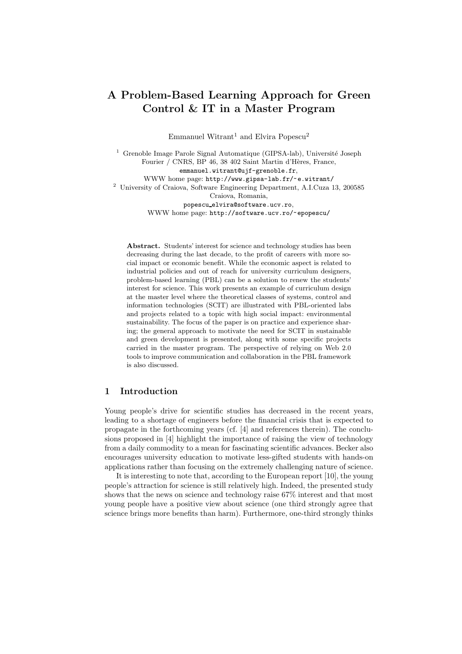# A Problem-Based Learning Approach for Green Control & IT in a Master Program

Emmanuel Witrant<sup>1</sup> and Elvira Popescu<sup>2</sup>

<sup>1</sup> Grenoble Image Parole Signal Automatique (GIPSA-lab), Université Joseph Fourier / CNRS, BP 46, 38 402 Saint Martin d'Hères, France, emmanuel.witrant@ujf-grenoble.fr, WWW home page: http://www.gipsa-lab.fr/~e.witrant/ <sup>2</sup> University of Craiova, Software Engineering Department, A.I.Cuza 13, 200585 Craiova, Romania, popescu elvira@software.ucv.ro, WWW home page: http://software.ucv.ro/~epopescu/

Abstract. Students' interest for science and technology studies has been decreasing during the last decade, to the profit of careers with more social impact or economic benefit. While the economic aspect is related to industrial policies and out of reach for university curriculum designers, problem-based learning (PBL) can be a solution to renew the students' interest for science. This work presents an example of curriculum design at the master level where the theoretical classes of systems, control and information technologies (SCIT) are illustrated with PBL-oriented labs and projects related to a topic with high social impact: environmental sustainability. The focus of the paper is on practice and experience sharing; the general approach to motivate the need for SCIT in sustainable and green development is presented, along with some specific projects carried in the master program. The perspective of relying on Web 2.0 tools to improve communication and collaboration in the PBL framework is also discussed.

# 1 Introduction

Young people's drive for scientific studies has decreased in the recent years, leading to a shortage of engineers before the financial crisis that is expected to propagate in the forthcoming years (cf. [4] and references therein). The conclusions proposed in [4] highlight the importance of raising the view of technology from a daily commodity to a mean for fascinating scientific advances. Becker also encourages university education to motivate less-gifted students with hands-on applications rather than focusing on the extremely challenging nature of science.

It is interesting to note that, according to the European report [10], the young people's attraction for science is still relatively high. Indeed, the presented study shows that the news on science and technology raise 67% interest and that most young people have a positive view about science (one third strongly agree that science brings more benefits than harm). Furthermore, one-third strongly thinks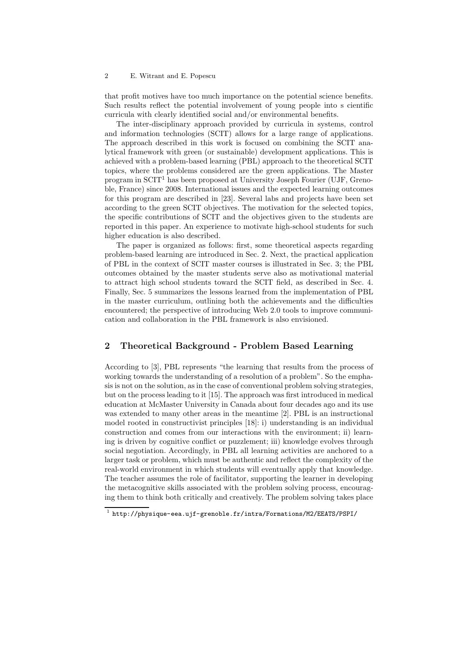#### 2 E. Witrant and E. Popescu

that profit motives have too much importance on the potential science benefits. Such results reflect the potential involvement of young people into s cientific curricula with clearly identified social and/or environmental benefits.

The inter-disciplinary approach provided by curricula in systems, control and information technologies (SCIT) allows for a large range of applications. The approach described in this work is focused on combining the SCIT analytical framework with green (or sustainable) development applications. This is achieved with a problem-based learning (PBL) approach to the theoretical SCIT topics, where the problems considered are the green applications. The Master program in  $SCIT<sup>1</sup>$  has been proposed at University Joseph Fourier (UJF, Grenoble, France) since 2008. International issues and the expected learning outcomes for this program are described in [23]. Several labs and projects have been set according to the green SCIT objectives. The motivation for the selected topics, the specific contributions of SCIT and the objectives given to the students are reported in this paper. An experience to motivate high-school students for such higher education is also described.

The paper is organized as follows: first, some theoretical aspects regarding problem-based learning are introduced in Sec. 2. Next, the practical application of PBL in the context of SCIT master courses is illustrated in Sec. 3; the PBL outcomes obtained by the master students serve also as motivational material to attract high school students toward the SCIT field, as described in Sec. 4. Finally, Sec. 5 summarizes the lessons learned from the implementation of PBL in the master curriculum, outlining both the achievements and the difficulties encountered; the perspective of introducing Web 2.0 tools to improve communication and collaboration in the PBL framework is also envisioned.

# 2 Theoretical Background - Problem Based Learning

According to [3], PBL represents "the learning that results from the process of working towards the understanding of a resolution of a problem". So the emphasis is not on the solution, as in the case of conventional problem solving strategies, but on the process leading to it [15]. The approach was first introduced in medical education at McMaster University in Canada about four decades ago and its use was extended to many other areas in the meantime [2]. PBL is an instructional model rooted in constructivist principles [18]: i) understanding is an individual construction and comes from our interactions with the environment; ii) learning is driven by cognitive conflict or puzzlement; iii) knowledge evolves through social negotiation. Accordingly, in PBL all learning activities are anchored to a larger task or problem, which must be authentic and reflect the complexity of the real-world environment in which students will eventually apply that knowledge. The teacher assumes the role of facilitator, supporting the learner in developing the metacognitive skills associated with the problem solving process, encouraging them to think both critically and creatively. The problem solving takes place

 $^1$  http://physique-eea.ujf-grenoble.fr/intra/Formations/M2/EEATS/PSPI/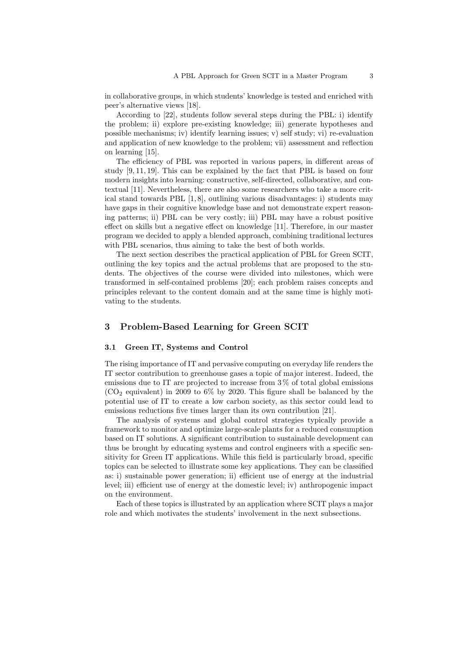in collaborative groups, in which students' knowledge is tested and enriched with peer's alternative views [18].

According to [22], students follow several steps during the PBL: i) identify the problem; ii) explore pre-existing knowledge; iii) generate hypotheses and possible mechanisms; iv) identify learning issues; v) self study; vi) re-evaluation and application of new knowledge to the problem; vii) assessment and reflection on learning [15].

The efficiency of PBL was reported in various papers, in different areas of study [9, 11, 19]. This can be explained by the fact that PBL is based on four modern insights into learning: constructive, self-directed, collaborative, and contextual [11]. Nevertheless, there are also some researchers who take a more critical stand towards PBL [1, 8], outlining various disadvantages: i) students may have gaps in their cognitive knowledge base and not demonstrate expert reasoning patterns; ii) PBL can be very costly; iii) PBL may have a robust positive effect on skills but a negative effect on knowledge [11]. Therefore, in our master program we decided to apply a blended approach, combining traditional lectures with PBL scenarios, thus aiming to take the best of both worlds.

The next section describes the practical application of PBL for Green SCIT, outlining the key topics and the actual problems that are proposed to the students. The objectives of the course were divided into milestones, which were transformed in self-contained problems [20]; each problem raises concepts and principles relevant to the content domain and at the same time is highly motivating to the students.

## 3 Problem-Based Learning for Green SCIT

#### 3.1 Green IT, Systems and Control

The rising importance of IT and pervasive computing on everyday life renders the IT sector contribution to greenhouse gases a topic of major interest. Indeed, the emissions due to IT are projected to increase from 3 % of total global emissions  $(CO<sub>2</sub>$  equivalent) in 2009 to 6% by 2020. This figure shall be balanced by the potential use of IT to create a low carbon society, as this sector could lead to emissions reductions five times larger than its own contribution [21].

The analysis of systems and global control strategies typically provide a framework to monitor and optimize large-scale plants for a reduced consumption based on IT solutions. A significant contribution to sustainable development can thus be brought by educating systems and control engineers with a specific sensitivity for Green IT applications. While this field is particularly broad, specific topics can be selected to illustrate some key applications. They can be classified as: i) sustainable power generation; ii) efficient use of energy at the industrial level; iii) efficient use of energy at the domestic level; iv) anthropogenic impact on the environment.

Each of these topics is illustrated by an application where SCIT plays a major role and which motivates the students' involvement in the next subsections.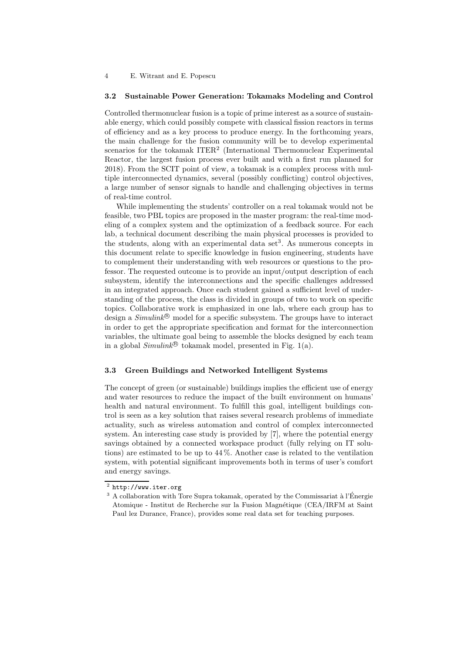#### 3.2 Sustainable Power Generation: Tokamaks Modeling and Control

Controlled thermonuclear fusion is a topic of prime interest as a source of sustainable energy, which could possibly compete with classical fission reactors in terms of efficiency and as a key process to produce energy. In the forthcoming years, the main challenge for the fusion community will be to develop experimental scenarios for the tokamak ITER<sup>2</sup> (International Thermonuclear Experimental Reactor, the largest fusion process ever built and with a first run planned for 2018). From the SCIT point of view, a tokamak is a complex process with multiple interconnected dynamics, several (possibly conflicting) control objectives, a large number of sensor signals to handle and challenging objectives in terms of real-time control.

While implementing the students' controller on a real tokamak would not be feasible, two PBL topics are proposed in the master program: the real-time modeling of a complex system and the optimization of a feedback source. For each lab, a technical document describing the main physical processes is provided to the students, along with an experimental data set<sup>3</sup>. As numerous concepts in this document relate to specific knowledge in fusion engineering, students have to complement their understanding with web resources or questions to the professor. The requested outcome is to provide an input/output description of each subsystem, identify the interconnections and the specific challenges addressed in an integrated approach. Once each student gained a sufficient level of understanding of the process, the class is divided in groups of two to work on specific topics. Collaborative work is emphasized in one lab, where each group has to design a  $Simulink^{\textcircled{\tiny{\textcirc}}}$  model for a specific subsystem. The groups have to interact in order to get the appropriate specification and format for the interconnection variables, the ultimate goal being to assemble the blocks designed by each team in a global  $Simulink^{\textcircled{B}}$  tokamak model, presented in Fig. 1(a).

#### 3.3 Green Buildings and Networked Intelligent Systems

The concept of green (or sustainable) buildings implies the efficient use of energy and water resources to reduce the impact of the built environment on humans' health and natural environment. To fulfill this goal, intelligent buildings control is seen as a key solution that raises several research problems of immediate actuality, such as wireless automation and control of complex interconnected system. An interesting case study is provided by [7], where the potential energy savings obtained by a connected workspace product (fully relying on IT solutions) are estimated to be up to 44 %. Another case is related to the ventilation system, with potential significant improvements both in terms of user's comfort and energy savings.

 $^2$  http://www.iter.org

 $3$  A collaboration with Tore Supra tokamak, operated by the Commissariat à l'Énergie Atomique - Institut de Recherche sur la Fusion Magnétique (CEA/IRFM at Saint Paul lez Durance, France), provides some real data set for teaching purposes.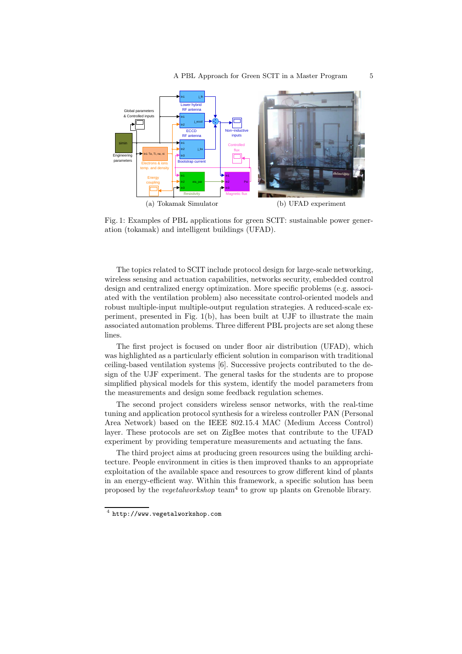

Fig. 1: Examples of PBL applications for green SCIT: sustainable power generation (tokamak) and intelligent buildings (UFAD).

The topics related to SCIT include protocol design for large-scale networking, wireless sensing and actuation capabilities, networks security, embedded control design and centralized energy optimization. More specific problems (e.g. associated with the ventilation problem) also necessitate control-oriented models and robust multiple-input multiple-output regulation strategies. A reduced-scale experiment, presented in Fig. 1(b), has been built at UJF to illustrate the main associated automation problems. Three different PBL projects are set along these lines.

The first project is focused on under floor air distribution (UFAD), which was highlighted as a particularly efficient solution in comparison with traditional ceiling-based ventilation systems [6]. Successive projects contributed to the design of the UJF experiment. The general tasks for the students are to propose simplified physical models for this system, identify the model parameters from the measurements and design some feedback regulation schemes.

The second project considers wireless sensor networks, with the real-time tuning and application protocol synthesis for a wireless controller PAN (Personal Area Network) based on the IEEE 802.15.4 MAC (Medium Access Control) layer. These protocols are set on ZigBee motes that contribute to the UFAD experiment by providing temperature measurements and actuating the fans.

The third project aims at producing green resources using the building architecture. People environment in cities is then improved thanks to an appropriate exploitation of the available space and resources to grow different kind of plants in an energy-efficient way. Within this framework, a specific solution has been proposed by the *vegetalworkshop* team<sup>4</sup> to grow up plants on Grenoble library.

 $^4$  http://www.vegetalworkshop.com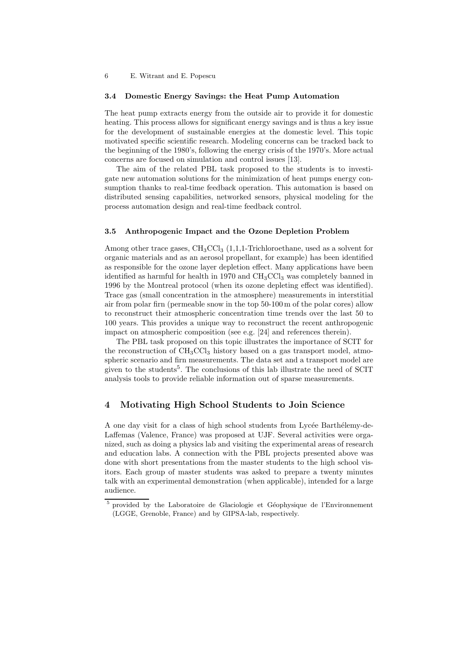### 3.4 Domestic Energy Savings: the Heat Pump Automation

The heat pump extracts energy from the outside air to provide it for domestic heating. This process allows for significant energy savings and is thus a key issue for the development of sustainable energies at the domestic level. This topic motivated specific scientific research. Modeling concerns can be tracked back to the beginning of the 1980's, following the energy crisis of the 1970's. More actual concerns are focused on simulation and control issues [13].

The aim of the related PBL task proposed to the students is to investigate new automation solutions for the minimization of heat pumps energy consumption thanks to real-time feedback operation. This automation is based on distributed sensing capabilities, networked sensors, physical modeling for the process automation design and real-time feedback control.

#### 3.5 Anthropogenic Impact and the Ozone Depletion Problem

Among other trace gases,  $CH_3CCl_3$  (1,1,1-Trichloroethane, used as a solvent for organic materials and as an aerosol propellant, for example) has been identified as responsible for the ozone layer depletion effect. Many applications have been identified as harmful for health in 1970 and  $CH_3CCl_3$  was completely banned in 1996 by the Montreal protocol (when its ozone depleting effect was identified). Trace gas (small concentration in the atmosphere) measurements in interstitial air from polar firn (permeable snow in the top 50-100m of the polar cores) allow to reconstruct their atmospheric concentration time trends over the last 50 to 100 years. This provides a unique way to reconstruct the recent anthropogenic impact on atmospheric composition (see e.g. [24] and references therein).

The PBL task proposed on this topic illustrates the importance of SCIT for the reconstruction of  $CH_3CCl_3$  history based on a gas transport model, atmospheric scenario and firn measurements. The data set and a transport model are  $\tilde{E}$  given to the students<sup>5</sup>. The conclusions of this lab illustrate the need of SCIT analysis tools to provide reliable information out of sparse measurements.

# 4 Motivating High School Students to Join Science

A one day visit for a class of high school students from Lycée Barthélemy-de-Laffemas (Valence, France) was proposed at UJF. Several activities were organized, such as doing a physics lab and visiting the experimental areas of research and education labs. A connection with the PBL projects presented above was done with short presentations from the master students to the high school visitors. Each group of master students was asked to prepare a twenty minutes talk with an experimental demonstration (when applicable), intended for a large audience.

<sup>&</sup>lt;sup>5</sup> provided by the Laboratoire de Glaciologie et Géophysique de l'Environnement (LGGE, Grenoble, France) and by GIPSA-lab, respectively.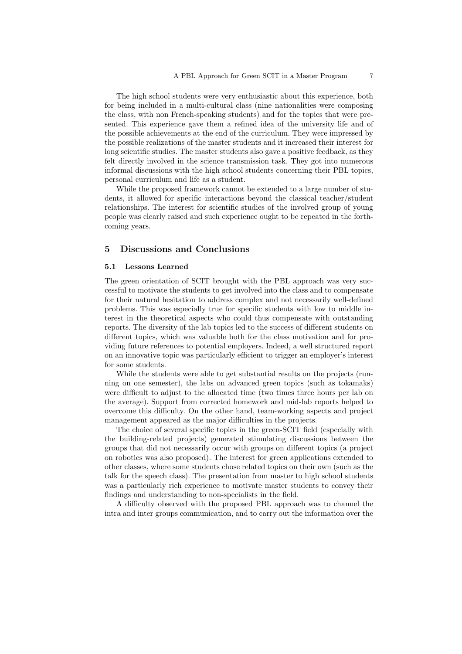The high school students were very enthusiastic about this experience, both for being included in a multi-cultural class (nine nationalities were composing the class, with non French-speaking students) and for the topics that were presented. This experience gave them a refined idea of the university life and of the possible achievements at the end of the curriculum. They were impressed by the possible realizations of the master students and it increased their interest for long scientific studies. The master students also gave a positive feedback, as they felt directly involved in the science transmission task. They got into numerous informal discussions with the high school students concerning their PBL topics, personal curriculum and life as a student.

While the proposed framework cannot be extended to a large number of students, it allowed for specific interactions beyond the classical teacher/student relationships. The interest for scientific studies of the involved group of young people was clearly raised and such experience ought to be repeated in the forthcoming years.

#### 5 Discussions and Conclusions

#### 5.1 Lessons Learned

The green orientation of SCIT brought with the PBL approach was very successful to motivate the students to get involved into the class and to compensate for their natural hesitation to address complex and not necessarily well-defined problems. This was especially true for specific students with low to middle interest in the theoretical aspects who could thus compensate with outstanding reports. The diversity of the lab topics led to the success of different students on different topics, which was valuable both for the class motivation and for providing future references to potential employers. Indeed, a well structured report on an innovative topic was particularly efficient to trigger an employer's interest for some students.

While the students were able to get substantial results on the projects (running on one semester), the labs on advanced green topics (such as tokamaks) were difficult to adjust to the allocated time (two times three hours per lab on the average). Support from corrected homework and mid-lab reports helped to overcome this difficulty. On the other hand, team-working aspects and project management appeared as the major difficulties in the projects.

The choice of several specific topics in the green-SCIT field (especially with the building-related projects) generated stimulating discussions between the groups that did not necessarily occur with groups on different topics (a project on robotics was also proposed). The interest for green applications extended to other classes, where some students chose related topics on their own (such as the talk for the speech class). The presentation from master to high school students was a particularly rich experience to motivate master students to convey their findings and understanding to non-specialists in the field.

A difficulty observed with the proposed PBL approach was to channel the intra and inter groups communication, and to carry out the information over the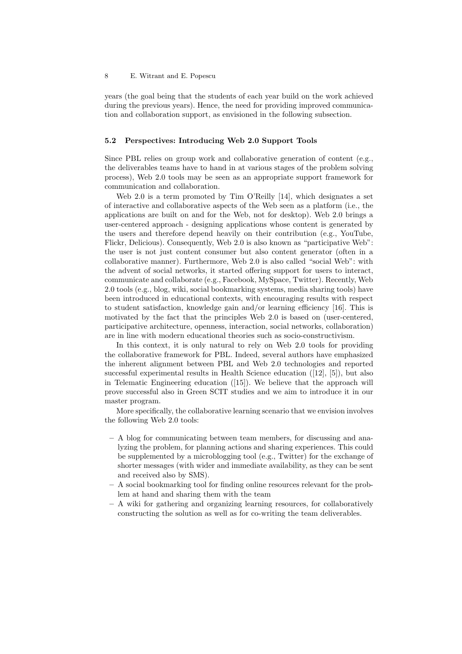years (the goal being that the students of each year build on the work achieved during the previous years). Hence, the need for providing improved communication and collaboration support, as envisioned in the following subsection.

#### 5.2 Perspectives: Introducing Web 2.0 Support Tools

Since PBL relies on group work and collaborative generation of content (e.g., the deliverables teams have to hand in at various stages of the problem solving process), Web 2.0 tools may be seen as an appropriate support framework for communication and collaboration.

Web 2.0 is a term promoted by Tim O'Reilly [14], which designates a set of interactive and collaborative aspects of the Web seen as a platform (i.e., the applications are built on and for the Web, not for desktop). Web 2.0 brings a user-centered approach - designing applications whose content is generated by the users and therefore depend heavily on their contribution (e.g., YouTube, Flickr, Delicious). Consequently, Web 2.0 is also known as "participative Web": the user is not just content consumer but also content generator (often in a collaborative manner). Furthermore, Web 2.0 is also called "social Web": with the advent of social networks, it started offering support for users to interact, communicate and collaborate (e.g., Facebook, MySpace, Twitter). Recently, Web 2.0 tools (e.g., blog, wiki, social bookmarking systems, media sharing tools) have been introduced in educational contexts, with encouraging results with respect to student satisfaction, knowledge gain and/or learning efficiency [16]. This is motivated by the fact that the principles Web 2.0 is based on (user-centered, participative architecture, openness, interaction, social networks, collaboration) are in line with modern educational theories such as socio-constructivism.

In this context, it is only natural to rely on Web 2.0 tools for providing the collaborative framework for PBL. Indeed, several authors have emphasized the inherent alignment between PBL and Web 2.0 technologies and reported successful experimental results in Health Science education ([12], [5]), but also in Telematic Engineering education ([15]). We believe that the approach will prove successful also in Green SCIT studies and we aim to introduce it in our master program.

More specifically, the collaborative learning scenario that we envision involves the following Web 2.0 tools:

- A blog for communicating between team members, for discussing and analyzing the problem, for planning actions and sharing experiences. This could be supplemented by a microblogging tool (e.g., Twitter) for the exchange of shorter messages (with wider and immediate availability, as they can be sent and received also by SMS).
- A social bookmarking tool for finding online resources relevant for the problem at hand and sharing them with the team
- A wiki for gathering and organizing learning resources, for collaboratively constructing the solution as well as for co-writing the team deliverables.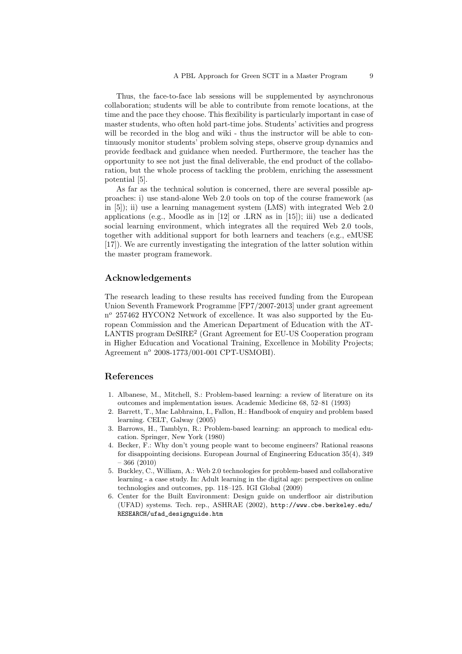Thus, the face-to-face lab sessions will be supplemented by asynchronous collaboration; students will be able to contribute from remote locations, at the time and the pace they choose. This flexibility is particularly important in case of master students, who often hold part-time jobs. Students' activities and progress will be recorded in the blog and wiki - thus the instructor will be able to continuously monitor students' problem solving steps, observe group dynamics and provide feedback and guidance when needed. Furthermore, the teacher has the opportunity to see not just the final deliverable, the end product of the collaboration, but the whole process of tackling the problem, enriching the assessment potential [5].

As far as the technical solution is concerned, there are several possible approaches: i) use stand-alone Web 2.0 tools on top of the course framework (as in [5]); ii) use a learning management system (LMS) with integrated Web 2.0 applications (e.g., Moodle as in [12] or .LRN as in [15]); iii) use a dedicated social learning environment, which integrates all the required Web 2.0 tools, together with additional support for both learners and teachers (e.g., eMUSE [17]). We are currently investigating the integration of the latter solution within the master program framework.

## Acknowledgements

The research leading to these results has received funding from the European Union Seventh Framework Programme [FP7/2007-2013] under grant agreement n <sup>o</sup> 257462 HYCON2 Network of excellence. It was also supported by the European Commission and the American Department of Education with the AT-LANTIS program DeSIRE<sup>2</sup> (Grant Agreement for EU-US Cooperation program in Higher Education and Vocational Training, Excellence in Mobility Projects; Agreement nº 2008-1773/001-001 CPT-USMOBI).

## References

- 1. Albanese, M., Mitchell, S.: Problem-based learning: a review of literature on its outcomes and implementation issues. Academic Medicine 68, 52–81 (1993)
- 2. Barrett, T., Mac Labhrainn, I., Fallon, H.: Handbook of enquiry and problem based learning. CELT, Galway (2005)
- 3. Barrows, H., Tamblyn, R.: Problem-based learning: an approach to medical education. Springer, New York (1980)
- 4. Becker, F.: Why don't young people want to become engineers? Rational reasons for disappointing decisions. European Journal of Engineering Education 35(4), 349 – 366 (2010)
- 5. Buckley, C., William, A.: Web 2.0 technologies for problem-based and collaborative learning - a case study. In: Adult learning in the digital age: perspectives on online technologies and outcomes, pp. 118–125. IGI Global (2009)
- 6. Center for the Built Environment: Design guide on underfloor air distribution (UFAD) systems. Tech. rep., ASHRAE (2002), http://www.cbe.berkeley.edu/ RESEARCH/ufad\_designguide.htm